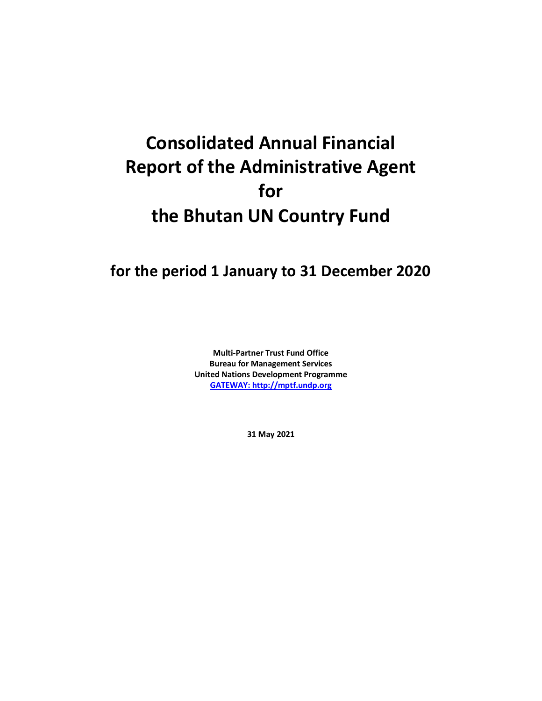## **Consolidated Annual Financial Report of the Administrative Agent for the Bhutan UN Country Fund**

## **for the period 1 January to 31 December 2020**

**Multi-Partner Trust Fund Office Bureau for Management Services United Nations Development Programme [GATEWAY: http://mptf.undp.org](http://mptf.undp.org/)**

**31 May 2021**